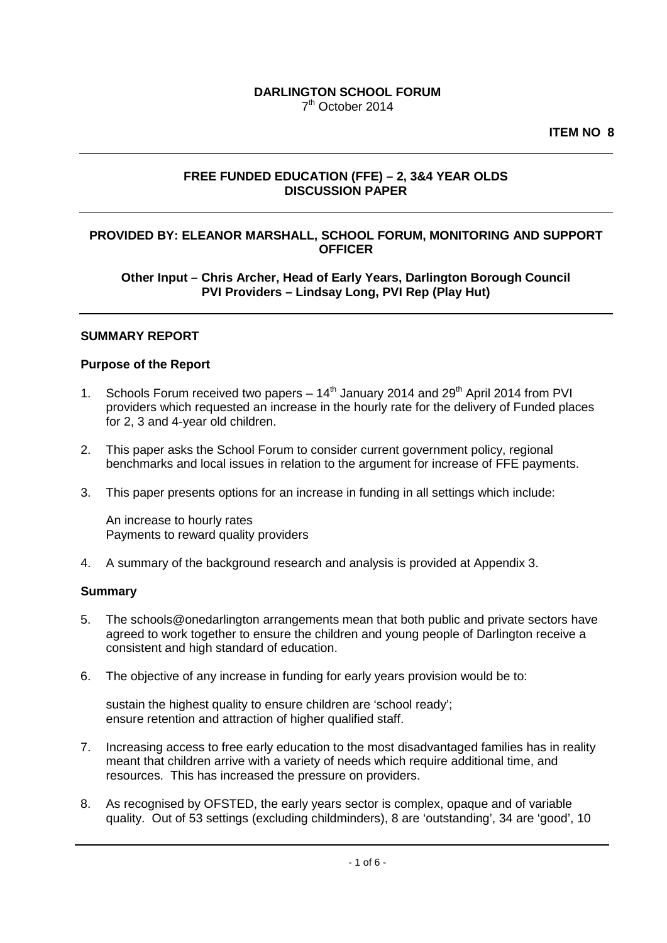#### **DARLINGTON SCHOOL FORUM** 7th October 2014

**ITEM NO 8**

# **FREE FUNDED EDUCATION (FFE) – 2, 3&4 YEAR OLDS DISCUSSION PAPER**

## **PROVIDED BY: ELEANOR MARSHALL, SCHOOL FORUM, MONITORING AND SUPPORT OFFICER**

**Other Input – Chris Archer, Head of Early Years, Darlington Borough Council PVI Providers – Lindsay Long, PVI Rep (Play Hut)**

## **SUMMARY REPORT**

#### **Purpose of the Report**

- 1. Schools Forum received two papers  $-14<sup>th</sup>$  January 2014 and 29<sup>th</sup> April 2014 from PVI providers which requested an increase in the hourly rate for the delivery of Funded places for 2, 3 and 4-year old children.
- 2. This paper asks the School Forum to consider current government policy, regional benchmarks and local issues in relation to the argument for increase of FFE payments.
- 3. This paper presents options for an increase in funding in all settings which include:

An increase to hourly rates Payments to reward quality providers

4. A summary of the background research and analysis is provided at Appendix 3.

#### **Summary**

- 5. The schools@onedarlington arrangements mean that both public and private sectors have agreed to work together to ensure the children and young people of Darlington receive a consistent and high standard of education.
- 6. The objective of any increase in funding for early years provision would be to:

sustain the highest quality to ensure children are 'school ready'; ensure retention and attraction of higher qualified staff.

- 7. Increasing access to free early education to the most disadvantaged families has in reality meant that children arrive with a variety of needs which require additional time, and resources. This has increased the pressure on providers.
- 8. As recognised by OFSTED, the early years sector is complex, opaque and of variable quality. Out of 53 settings (excluding childminders), 8 are 'outstanding', 34 are 'good', 10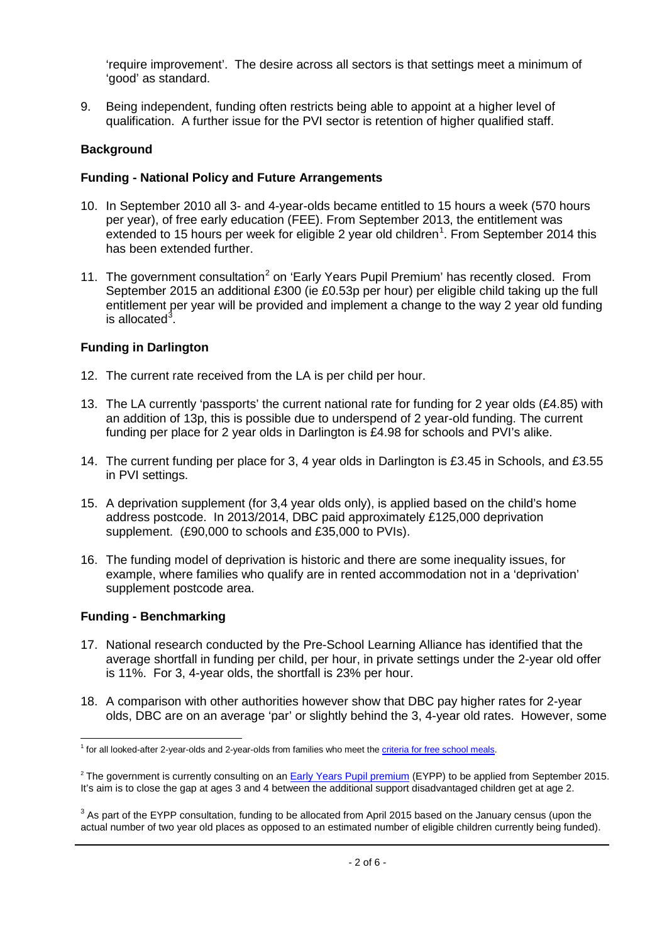'require improvement'. The desire across all sectors is that settings meet a minimum of 'good' as standard.

9. Being independent, funding often restricts being able to appoint at a higher level of qualification. A further issue for the PVI sector is retention of higher qualified staff.

# **Background**

## **Funding - National Policy and Future Arrangements**

- 10. In September 2010 all 3- and 4-year-olds became entitled to 15 hours a week (570 hours per year), of free early education (FEE). From September 2013, the entitlement was extended to [1](#page-1-0)5 hours per week for eligible 2 year old children<sup>1</sup>. From September 2014 this has been extended further.
- 11. The government consultation<sup>[2](#page-1-1)</sup> on 'Early Years Pupil Premium' has recently closed. From September 2015 an additional £300 (ie £0.53p per hour) per eligible child taking up the full entitlement per year will be provided and implement a change to the way 2 year old funding is allocated<sup>[3](#page-1-2)</sup>.

# **Funding in Darlington**

- 12. The current rate received from the LA is per child per hour.
- 13. The LA currently 'passports' the current national rate for funding for 2 year olds (£4.85) with an addition of 13p, this is possible due to underspend of 2 year-old funding. The current funding per place for 2 year olds in Darlington is £4.98 for schools and PVI's alike.
- 14. The current funding per place for 3, 4 year olds in Darlington is £3.45 in Schools, and £3.55 in PVI settings.
- 15. A deprivation supplement (for 3,4 year olds only), is applied based on the child's home address postcode. In 2013/2014, DBC paid approximately £125,000 deprivation supplement. (£90,000 to schools and £35,000 to PVIs).
- 16. The funding model of deprivation is historic and there are some inequality issues, for example, where families who qualify are in rented accommodation not in a 'deprivation' supplement postcode area.

# **Funding - Benchmarking**

- 17. National research conducted by the Pre-School Learning Alliance has identified that the average shortfall in funding per child, per hour, in private settings under the 2-year old offer is 11%. For 3, 4-year olds, the shortfall is 23% per hour.
- 18. A comparison with other authorities however show that DBC pay higher rates for 2-year olds, DBC are on an average 'par' or slightly behind the 3, 4-year old rates.However, some

<span id="page-1-0"></span><sup>&</sup>lt;sup>1</sup> for all looked-after 2-year-olds and 2-year-olds from families who meet the *criteria for free school meals*.  $\frac{1}{1}$ 

<span id="page-1-1"></span><sup>&</sup>lt;sup>2</sup> The government is currently consulting on an **Early Years Pupil premium** (EYPP) to be applied from September 2015. It's aim is to close the gap at ages 3 and 4 between the additional support disadvantaged children get at age 2.

<span id="page-1-2"></span><sup>&</sup>lt;sup>3</sup> As part of the EYPP consultation, funding to be allocated from April 2015 based on the January census (upon the actual number of two year old places as opposed to an estimated number of eligible children currently being funded).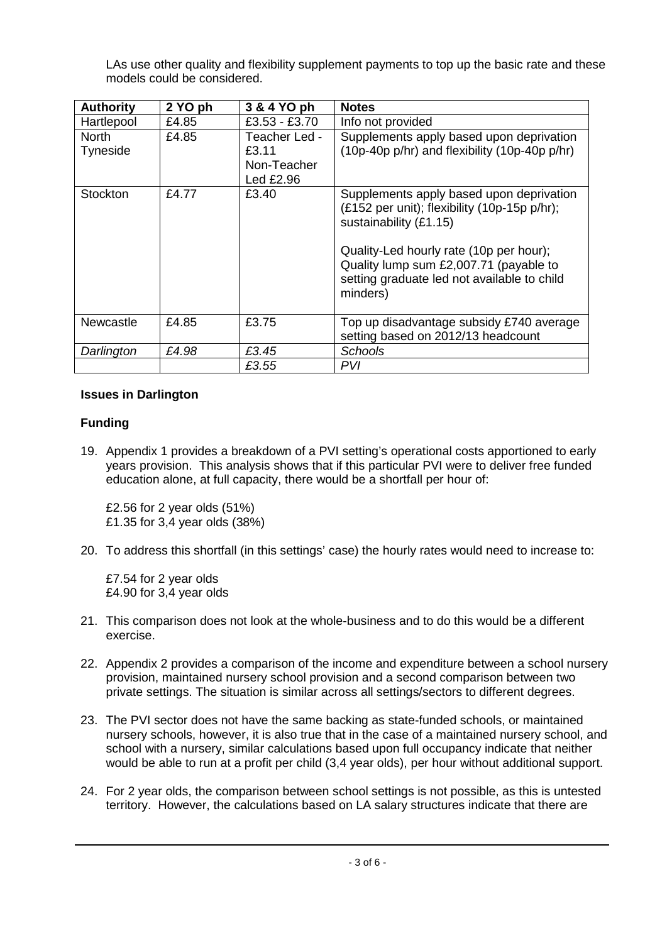LAs use other quality and flexibility supplement payments to top up the basic rate and these models could be considered.

| <b>Authority</b> | 2 YO ph | 3 & 4 YO ph     | <b>Notes</b>                                                                                                                                 |
|------------------|---------|-----------------|----------------------------------------------------------------------------------------------------------------------------------------------|
| Hartlepool       | £4.85   | $£3.53 - £3.70$ | Info not provided                                                                                                                            |
| <b>North</b>     | £4.85   | Teacher Led -   | Supplements apply based upon deprivation                                                                                                     |
| Tyneside         |         | £3.11           | (10p-40p p/hr) and flexibility (10p-40p p/hr)                                                                                                |
|                  |         | Non-Teacher     |                                                                                                                                              |
|                  |         | Led £2.96       |                                                                                                                                              |
| <b>Stockton</b>  | £4.77   | £3.40           | Supplements apply based upon deprivation<br>(£152 per unit); flexibility (10p-15p p/hr);<br>sustainability (£1.15)                           |
|                  |         |                 | Quality-Led hourly rate (10p per hour);<br>Quality lump sum £2,007.71 (payable to<br>setting graduate led not available to child<br>minders) |
| <b>Newcastle</b> | £4.85   | £3.75           | Top up disadvantage subsidy £740 average<br>setting based on 2012/13 headcount                                                               |
| Darlington       | £4.98   | £3.45           | Schools                                                                                                                                      |
|                  |         | £3.55           | PVI                                                                                                                                          |

## **Issues in Darlington**

## **Funding**

19. Appendix 1 provides a breakdown of a PVI setting's operational costs apportioned to early years provision. This analysis shows that if this particular PVI were to deliver free funded education alone, at full capacity, there would be a shortfall per hour of:

£2.56 for 2 year olds (51%) £1.35 for 3,4 year olds (38%)

20. To address this shortfall (in this settings' case) the hourly rates would need to increase to:

£7.54 for 2 year olds £4.90 for 3,4 year olds

- 21. This comparison does not look at the whole-business and to do this would be a different exercise.
- 22. Appendix 2 provides a comparison of the income and expenditure between a school nursery provision, maintained nursery school provision and a second comparison between two private settings. The situation is similar across all settings/sectors to different degrees.
- 23. The PVI sector does not have the same backing as state-funded schools, or maintained nursery schools, however, it is also true that in the case of a maintained nursery school, and school with a nursery, similar calculations based upon full occupancy indicate that neither would be able to run at a profit per child (3,4 year olds), per hour without additional support.
- 24. For 2 year olds, the comparison between school settings is not possible, as this is untested territory. However, the calculations based on LA salary structures indicate that there are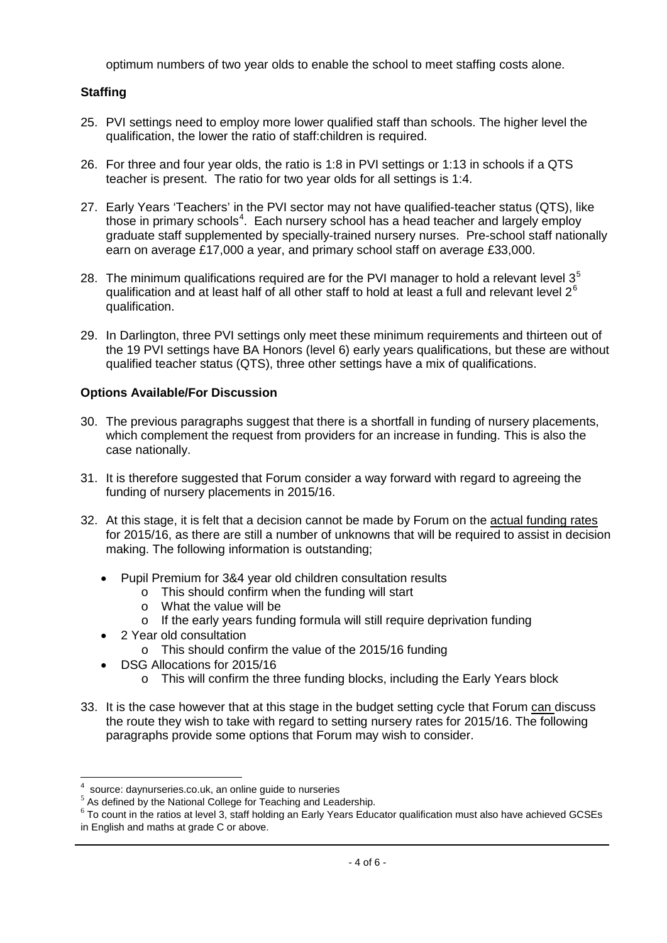optimum numbers of two year olds to enable the school to meet staffing costs alone.

# **Staffing**

- 25. PVI settings need to employ more lower qualified staff than schools. The higher level the qualification, the lower the ratio of staff:children is required.
- 26. For three and four year olds, the ratio is 1:8 in PVI settings or 1:13 in schools if a QTS teacher is present. The ratio for two year olds for all settings is 1:4.
- 27. Early Years 'Teachers' in the PVI sector may not have qualified-teacher status (QTS), like those in primary schools $^4$  $^4$ . Each nursery school has a head teacher and largely employ graduate staff supplemented by specially-trained nursery nurses. Pre-school staff nationally earn on average £17,000 a year, and primary school staff on average £33,000.
- 28. The minimum qualifications required are for the PVI manager to hold a relevant level  $3<sup>5</sup>$  $3<sup>5</sup>$  $3<sup>5</sup>$ qualification and at least half of all other staff to hold at least a full and relevant level  $2^6$  $2^6$ qualification.
- 29. In Darlington, three PVI settings only meet these minimum requirements and thirteen out of the 19 PVI settings have BA Honors (level 6) early years qualifications, but these are without qualified teacher status (QTS), three other settings have a mix of qualifications.

## **Options Available/For Discussion**

- 30. The previous paragraphs suggest that there is a shortfall in funding of nursery placements, which complement the request from providers for an increase in funding. This is also the case nationally.
- 31. It is therefore suggested that Forum consider a way forward with regard to agreeing the funding of nursery placements in 2015/16.
- 32. At this stage, it is felt that a decision cannot be made by Forum on the actual funding rates for 2015/16, as there are still a number of unknowns that will be required to assist in decision making. The following information is outstanding;
	- Pupil Premium for 3&4 year old children consultation results
		- o This should confirm when the funding will start
		- o What the value will be
		- o If the early years funding formula will still require deprivation funding
	- 2 Year old consultation

 $\overline{a}$ 

- o This should confirm the value of the 2015/16 funding
- DSG Allocations for 2015/16
	- o This will confirm the three funding blocks, including the Early Years block
- 33. It is the case however that at this stage in the budget setting cycle that Forum can discuss the route they wish to take with regard to setting nursery rates for 2015/16. The following paragraphs provide some options that Forum may wish to consider.

<sup>4</sup>

<span id="page-3-2"></span>

<span id="page-3-1"></span><span id="page-3-0"></span><sup>&</sup>lt;sup>4</sup> source: daynurseries.co.uk, an online guide to nurseries<br>
<sup>5</sup> As defined by the National College for Teaching and Leadership.<br>
<sup>6</sup> To count in the ratios at level 3, staff holding an Early Years Educator qualification in English and maths at grade C or above.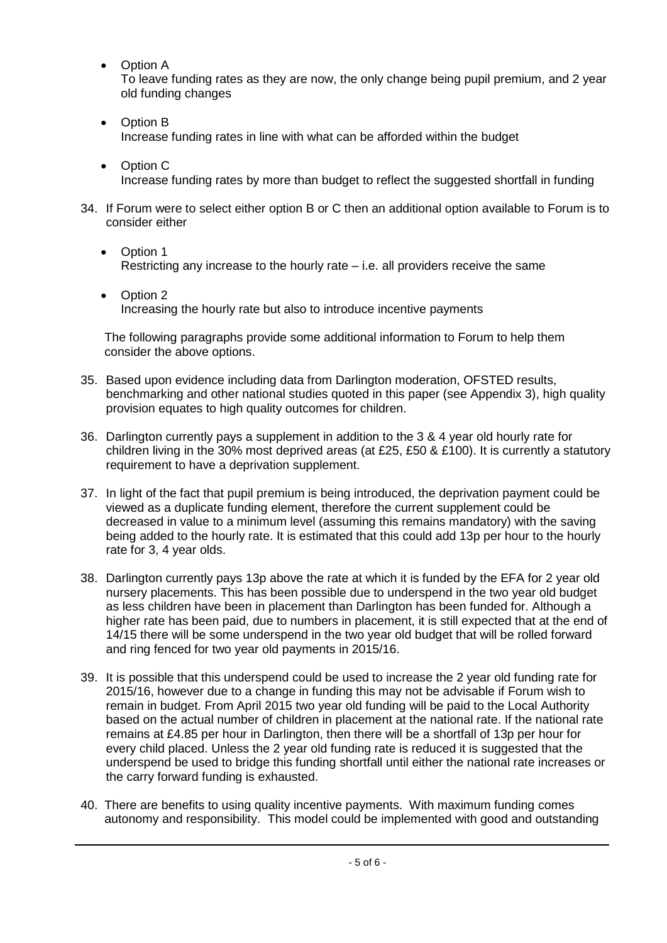• Option A

To leave funding rates as they are now, the only change being pupil premium, and 2 year old funding changes

- Option B Increase funding rates in line with what can be afforded within the budget
- Option C Increase funding rates by more than budget to reflect the suggested shortfall in funding
- 34. If Forum were to select either option B or C then an additional option available to Forum is to consider either
	- Option 1 Restricting any increase to the hourly rate  $-$  i.e. all providers receive the same
	- Option 2 Increasing the hourly rate but also to introduce incentive payments

The following paragraphs provide some additional information to Forum to help them consider the above options.

- 35. Based upon evidence including data from Darlington moderation, OFSTED results, benchmarking and other national studies quoted in this paper (see Appendix 3), high quality provision equates to high quality outcomes for children.
- 36. Darlington currently pays a supplement in addition to the 3 & 4 year old hourly rate for children living in the 30% most deprived areas (at £25, £50 & £100). It is currently a statutory requirement to have a deprivation supplement.
- 37. In light of the fact that pupil premium is being introduced, the deprivation payment could be viewed as a duplicate funding element, therefore the current supplement could be decreased in value to a minimum level (assuming this remains mandatory) with the saving being added to the hourly rate. It is estimated that this could add 13p per hour to the hourly rate for 3, 4 year olds.
- 38. Darlington currently pays 13p above the rate at which it is funded by the EFA for 2 year old nursery placements. This has been possible due to underspend in the two year old budget as less children have been in placement than Darlington has been funded for. Although a higher rate has been paid, due to numbers in placement, it is still expected that at the end of 14/15 there will be some underspend in the two year old budget that will be rolled forward and ring fenced for two year old payments in 2015/16.
- 39. It is possible that this underspend could be used to increase the 2 year old funding rate for 2015/16, however due to a change in funding this may not be advisable if Forum wish to remain in budget. From April 2015 two year old funding will be paid to the Local Authority based on the actual number of children in placement at the national rate. If the national rate remains at £4.85 per hour in Darlington, then there will be a shortfall of 13p per hour for every child placed. Unless the 2 year old funding rate is reduced it is suggested that the underspend be used to bridge this funding shortfall until either the national rate increases or the carry forward funding is exhausted.
- 40. There are benefits to using quality incentive payments. With maximum funding comes autonomy and responsibility. This model could be implemented with good and outstanding